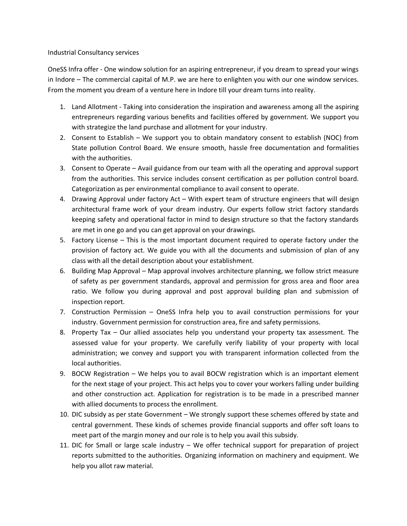## Industrial Consultancy services

OneSS Infra offer - One window solution for an aspiring entrepreneur, if you dream to spread your wings in Indore – The commercial capital of M.P. we are here to enlighten you with our one window services. From the moment you dream of a venture here in Indore till your dream turns into reality.

- 1. Land Allotment Taking into consideration the inspiration and awareness among all the aspiring entrepreneurs regarding various benefits and facilities offered by government. We support you with strategize the land purchase and allotment for your industry.
- 2. Consent to Establish We support you to obtain mandatory consent to establish (NOC) from State pollution Control Board. We ensure smooth, hassle free documentation and formalities with the authorities.
- 3. Consent to Operate Avail guidance from our team with all the operating and approval support from the authorities. This service includes consent certification as per pollution control board. Categorization as per environmental compliance to avail consent to operate.
- 4. Drawing Approval under factory Act With expert team of structure engineers that will design architectural frame work of your dream industry. Our experts follow strict factory standards keeping safety and operational factor in mind to design structure so that the factory standards are met in one go and you can get approval on your drawings.
- 5. Factory License This is the most important document required to operate factory under the provision of factory act. We guide you with all the documents and submission of plan of any class with all the detail description about your establishment.
- 6. Building Map Approval Map approval involves architecture planning, we follow strict measure of safety as per government standards, approval and permission for gross area and floor area ratio. We follow you during approval and post approval building plan and submission of inspection report.
- 7. Construction Permission OneSS Infra help you to avail construction permissions for your industry. Government permission for construction area, fire and safety permissions.
- 8. Property Tax Our allied associates help you understand your property tax assessment. The assessed value for your property. We carefully verify liability of your property with local administration; we convey and support you with transparent information collected from the local authorities.
- 9. BOCW Registration We helps you to avail BOCW registration which is an important element for the next stage of your project. This act helps you to cover your workers falling under building and other construction act. Application for registration is to be made in a prescribed manner with allied documents to process the enrollment.
- 10. DIC subsidy as per state Government We strongly support these schemes offered by state and central government. These kinds of schemes provide financial supports and offer soft loans to meet part of the margin money and our role is to help you avail this subsidy.
- 11. DIC for Small or large scale industry We offer technical support for preparation of project reports submitted to the authorities. Organizing information on machinery and equipment. We help you allot raw material.